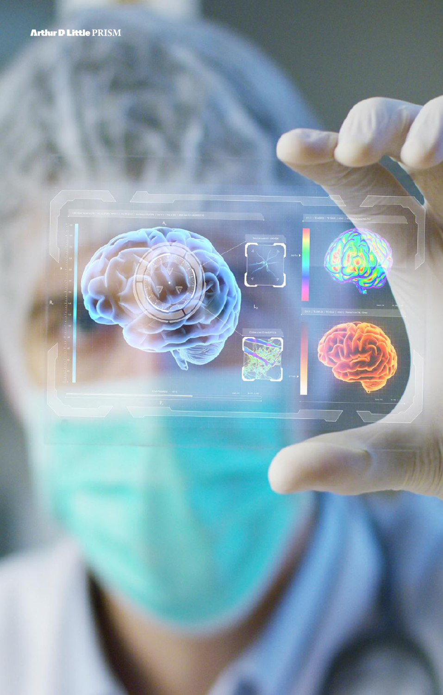That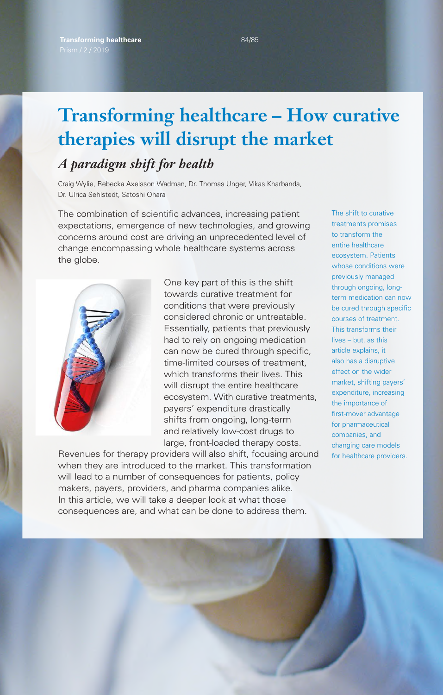# **Transforming healthcare – How curative therapies will disrupt the market**

## *A paradigm shift for health*

Craig Wylie, Rebecka Axelsson Wadman, Dr. Thomas Unger, Vikas Kharbanda, Dr. Ulrica Sehlstedt, Satoshi Ohara

The combination of scientific advances, increasing patient expectations, emergence of new technologies, and growing concerns around cost are driving an unprecedented level of change encompassing whole healthcare systems across the globe.



One key part of this is the shift towards curative treatment for conditions that were previously considered chronic or untreatable. Essentially, patients that previously had to rely on ongoing medication can now be cured through specific, time-limited courses of treatment, which transforms their lives. This will disrupt the entire healthcare ecosystem. With curative treatments, payers' expenditure drastically shifts from ongoing, long-term and relatively low-cost drugs to large, front-loaded therapy costs.

Revenues for therapy providers will also shift, focusing around when they are introduced to the market. This transformation will lead to a number of consequences for patients, policy makers, payers, providers, and pharma companies alike. In this article, we will take a deeper look at what those consequences are, and what can be done to address them.

The shift to curative treatments promises to transform the entire healthcare ecosystem. Patients whose conditions were previously managed through ongoing, longterm medication can now be cured through specific courses of treatment. This transforms their lives – but, as this article explains, it also has a disruptive effect on the wider market, shifting payers' expenditure, increasing the importance of first-mover advantage for pharmaceutical companies, and changing care models for healthcare providers.

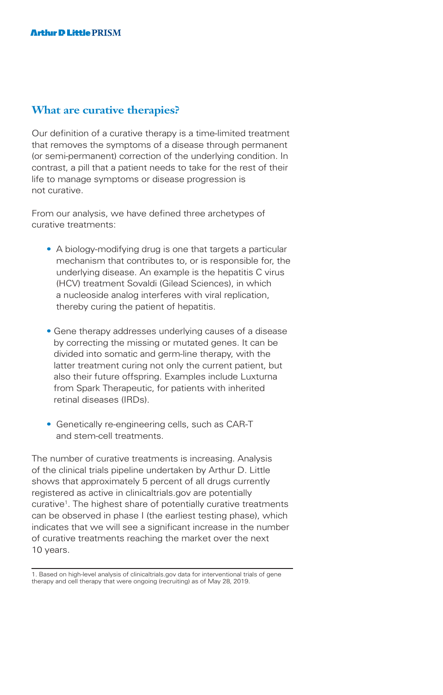## **What are curative therapies?**

Our definition of a curative therapy is a time-limited treatment that removes the symptoms of a disease through permanent (or semi-permanent) correction of the underlying condition. In contrast, a pill that a patient needs to take for the rest of their life to manage symptoms or disease progression is not curative.

From our analysis, we have defined three archetypes of curative treatments:

- A biology-modifying drug is one that targets a particular mechanism that contributes to, or is responsible for, the underlying disease. An example is the hepatitis C virus (HCV) treatment Sovaldi (Gilead Sciences), in which a nucleoside analog interferes with viral replication, thereby curing the patient of hepatitis.
- Gene therapy addresses underlying causes of a disease by correcting the missing or mutated genes. It can be divided into somatic and germ-line therapy, with the latter treatment curing not only the current patient, but also their future offspring. Examples include Luxturna from Spark Therapeutic, for patients with inherited retinal diseases (IRDs).
- Genetically re-engineering cells, such as CAR-T and stem-cell treatments.

The number of curative treatments is increasing. Analysis of the clinical trials pipeline undertaken by Arthur D. Little shows that approximately 5 percent of all drugs currently registered as active in clinicaltrials.gov are potentially curative<sup>1</sup>. The highest share of potentially curative treatments can be observed in phase I (the earliest testing phase), which indicates that we will see a significant increase in the number of curative treatments reaching the market over the next 10 years.

<sup>1.</sup> Based on high-level analysis of clinicaltrials.gov data for interventional trials of gene therapy and cell therapy that were ongoing (recruiting) as of May 28, 2019.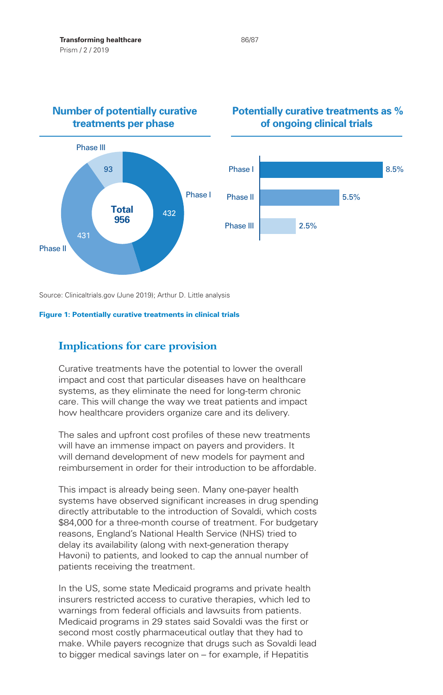

## **Number of potentially curative treatments per phase**

**Potentially curative treatments as % of ongoing clinical trials** 



Source: Clinicaltrials.gov (June 2019); Arthur D. Little analysis Source: Clinicaltrials.gov (June 2019); Arthur D. Little analysis

#### **Figure 1: Potentially curative treatments in clinical trials**

## **Implications for care provision**

Curative treatments have the potential to lower the overall impact and cost that particular diseases have on healthcare systems, as they eliminate the need for long-term chronic care. This will change the way we treat patients and impact how healthcare providers organize care and its delivery.

The sales and upfront cost profiles of these new treatments will have an immense impact on payers and providers. It will demand development of new models for payment and reimbursement in order for their introduction to be affordable.

This impact is already being seen. Many one-payer health systems have observed significant increases in drug spending directly attributable to the introduction of Sovaldi, which costs \$84,000 for a three-month course of treatment. For budgetary reasons, England's National Health Service (NHS) tried to delay its availability (along with next-generation therapy Havoni) to patients, and looked to cap the annual number of patients receiving the treatment.

In the US, some state Medicaid programs and private health insurers restricted access to curative therapies, which led to warnings from federal officials and lawsuits from patients. Medicaid programs in 29 states said Sovaldi was the first or second most costly pharmaceutical outlay that they had to make. While payers recognize that drugs such as Sovaldi lead to bigger medical savings later on – for example, if Hepatitis

86/87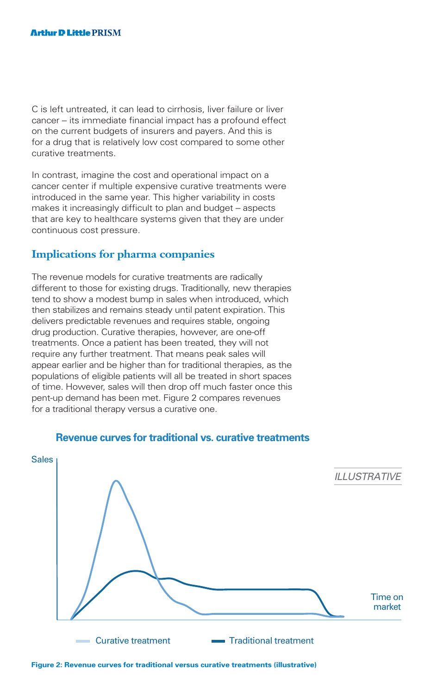C is left untreated, it can lead to cirrhosis, liver failure or liver cancer – its immediate financial impact has a profound effect on the current budgets of insurers and payers. And this is for a drug that is relatively low cost compared to some other curative treatments.

In contrast, imagine the cost and operational impact on a cancer center if multiple expensive curative treatments were introduced in the same year. This higher variability in costs makes it increasingly difficult to plan and budget – aspects that are key to healthcare systems given that they are under continuous cost pressure.

## **Implications for pharma companies**

The revenue models for curative treatments are radically different to those for existing drugs. Traditionally, new therapies tend to show a modest bump in sales when introduced, which then stabilizes and remains steady until patent expiration. This delivers predictable revenues and requires stable, ongoing drug production. Curative therapies, however, are one-off treatments. Once a patient has been treated, they will not require any further treatment. That means peak sales will appear earlier and be higher than for traditional therapies, as the populations of eligible patients will all be treated in short spaces of time. However, sales will then drop off much faster once this pent-up demand has been met. Figure 2 compares revenues for a traditional therapy versus a curative one.



## **Revenue curves for traditional vs. curative treatments**

**Figure 2: Revenue curves for traditional versus curative treatments (illustrative)**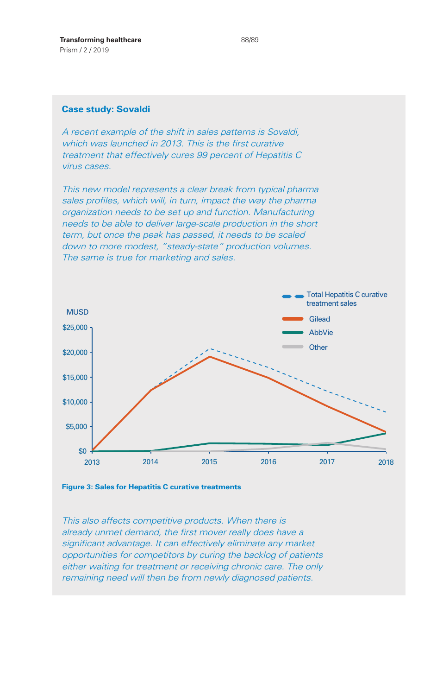#### **Case study: Sovaldi**

*A recent example of the shift in sales patterns is Sovaldi, which was launched in 2013. This is the first curative treatment that effectively cures 99 percent of Hepatitis C virus cases.* 

*This new model represents a clear break from typical pharma sales profiles, which will, in turn, impact the way the pharma organization needs to be set up and function. Manufacturing needs to be able to deliver large-scale production in the short term, but once the peak has passed, it needs to be scaled down to more modest, "steady-state" production volumes. The same is true for marketing and sales.* 



**Figure 3: Sales for Hepatitis C curative treatments** 

*This also affects competitive products. When there is already unmet demand, the first mover really does have a significant advantage. It can effectively eliminate any market opportunities for competitors by curing the backlog of patients either waiting for treatment or receiving chronic care. The only remaining need will then be from newly diagnosed patients.*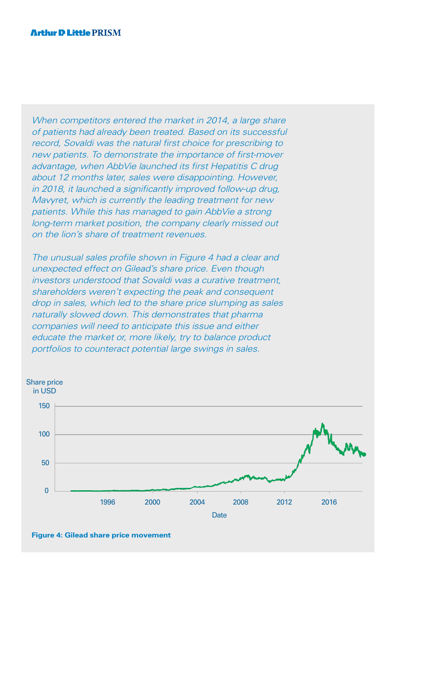*When competitors entered the market in 2014, a large share of patients had already been treated. Based on its successful record, Sovaldi was the natural first choice for prescribing to new patients. To demonstrate the importance of first-mover advantage, when AbbVie launched its first Hepatitis C drug about 12 months later, sales were disappointing. However, in 2018, it launched a significantly improved follow-up drug, Mavyret, which is currently the leading treatment for new patients. While this has managed to gain AbbVie a strong long-term market position, the company clearly missed out on the lion's share of treatment revenues.*

*The unusual sales profile shown in Figure 4 had a clear and unexpected effect on Gilead's share price. Even though investors understood that Sovaldi was a curative treatment, shareholders weren't expecting the peak and consequent drop in sales, which led to the share price slumping as sales naturally slowed down. This demonstrates that pharma companies will need to anticipate this issue and either educate the market or, more likely, try to balance product portfolios to counteract potential large swings in sales.*

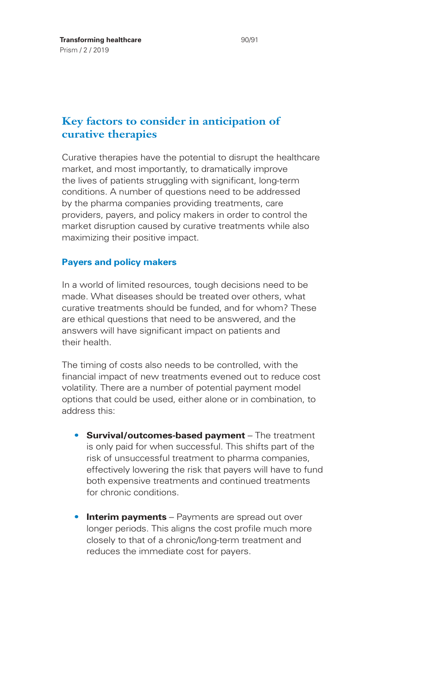## **Key factors to consider in anticipation of curative therapies**

Curative therapies have the potential to disrupt the healthcare market, and most importantly, to dramatically improve the lives of patients struggling with significant, long-term conditions. A number of questions need to be addressed by the pharma companies providing treatments, care providers, payers, and policy makers in order to control the market disruption caused by curative treatments while also maximizing their positive impact.

#### **Payers and policy makers**

In a world of limited resources, tough decisions need to be made. What diseases should be treated over others, what curative treatments should be funded, and for whom? These are ethical questions that need to be answered, and the answers will have significant impact on patients and their health.

The timing of costs also needs to be controlled, with the financial impact of new treatments evened out to reduce cost volatility. There are a number of potential payment model options that could be used, either alone or in combination, to address this:

- **Survival/outcomes-based payment** The treatment is only paid for when successful. This shifts part of the risk of unsuccessful treatment to pharma companies, effectively lowering the risk that payers will have to fund both expensive treatments and continued treatments for chronic conditions.
- **Interim payments** Payments are spread out over longer periods. This aligns the cost profile much more closely to that of a chronic/long-term treatment and reduces the immediate cost for payers.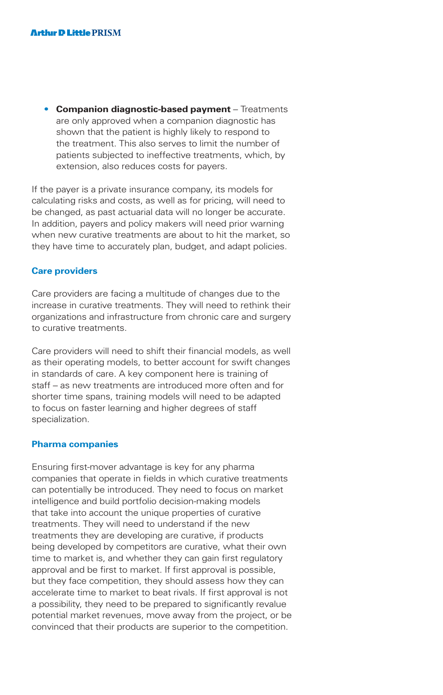• **Companion diagnostic-based payment** – Treatments are only approved when a companion diagnostic has shown that the patient is highly likely to respond to the treatment. This also serves to limit the number of patients subjected to ineffective treatments, which, by extension, also reduces costs for payers.

If the payer is a private insurance company, its models for calculating risks and costs, as well as for pricing, will need to be changed, as past actuarial data will no longer be accurate. In addition, payers and policy makers will need prior warning when new curative treatments are about to hit the market, so they have time to accurately plan, budget, and adapt policies.

#### **Care providers**

Care providers are facing a multitude of changes due to the increase in curative treatments. They will need to rethink their organizations and infrastructure from chronic care and surgery to curative treatments.

Care providers will need to shift their financial models, as well as their operating models, to better account for swift changes in standards of care. A key component here is training of staff – as new treatments are introduced more often and for shorter time spans, training models will need to be adapted to focus on faster learning and higher degrees of staff specialization.

#### **Pharma companies**

Ensuring first-mover advantage is key for any pharma companies that operate in fields in which curative treatments can potentially be introduced. They need to focus on market intelligence and build portfolio decision-making models that take into account the unique properties of curative treatments. They will need to understand if the new treatments they are developing are curative, if products being developed by competitors are curative, what their own time to market is, and whether they can gain first regulatory approval and be first to market. If first approval is possible, but they face competition, they should assess how they can accelerate time to market to beat rivals. If first approval is not a possibility, they need to be prepared to significantly revalue potential market revenues, move away from the project, or be convinced that their products are superior to the competition.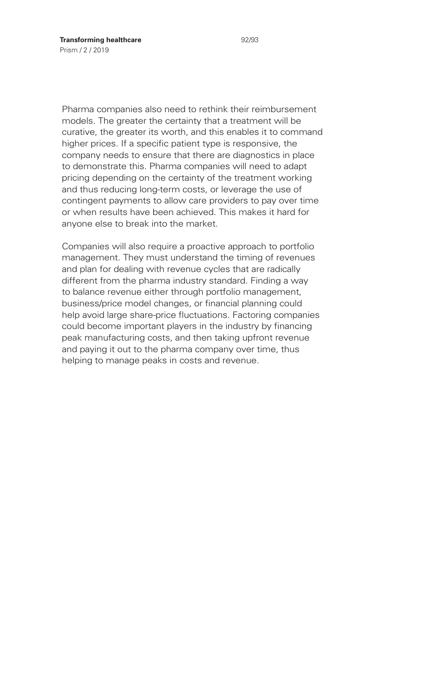Pharma companies also need to rethink their reimbursement models. The greater the certainty that a treatment will be curative, the greater its worth, and this enables it to command higher prices. If a specific patient type is responsive, the company needs to ensure that there are diagnostics in place to demonstrate this. Pharma companies will need to adapt pricing depending on the certainty of the treatment working and thus reducing long-term costs, or leverage the use of contingent payments to allow care providers to pay over time or when results have been achieved. This makes it hard for anyone else to break into the market.

Companies will also require a proactive approach to portfolio management. They must understand the timing of revenues and plan for dealing with revenue cycles that are radically different from the pharma industry standard. Finding a way to balance revenue either through portfolio management, business/price model changes, or financial planning could help avoid large share-price fluctuations. Factoring companies could become important players in the industry by financing peak manufacturing costs, and then taking upfront revenue and paying it out to the pharma company over time, thus helping to manage peaks in costs and revenue.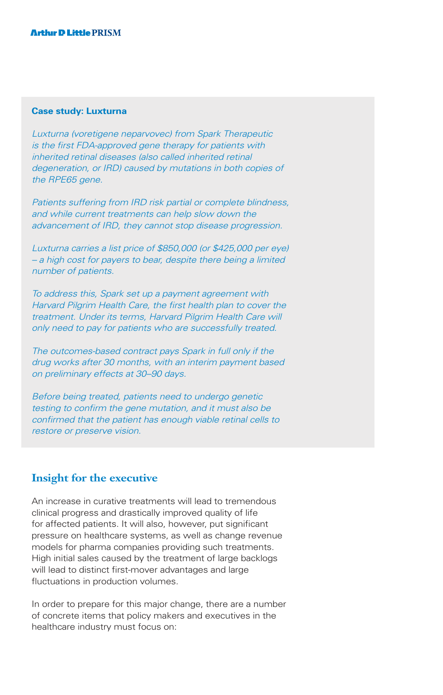#### **Case study: Luxturna**

*Luxturna (voretigene neparvovec) from Spark Therapeutic is the first FDA-approved gene therapy for patients with inherited retinal diseases (also called inherited retinal degeneration, or IRD) caused by mutations in both copies of the RPE65 gene.* 

*Patients suffering from IRD risk partial or complete blindness, and while current treatments can help slow down the advancement of IRD, they cannot stop disease progression.*

*Luxturna carries a list price of \$850,000 (or \$425,000 per eye) – a high cost for payers to bear, despite there being a limited number of patients.*

*To address this, Spark set up a payment agreement with Harvard Pilgrim Health Care, the first health plan to cover the treatment. Under its terms, Harvard Pilgrim Health Care will only need to pay for patients who are successfully treated.*

*The outcomes-based contract pays Spark in full only if the drug works after 30 months, with an interim payment based on preliminary effects at 30–90 days.* 

*Before being treated, patients need to undergo genetic testing to confirm the gene mutation, and it must also be confirmed that the patient has enough viable retinal cells to restore or preserve vision.* 

## **Insight for the executive**

An increase in curative treatments will lead to tremendous clinical progress and drastically improved quality of life for affected patients. It will also, however, put significant pressure on healthcare systems, as well as change revenue models for pharma companies providing such treatments. High initial sales caused by the treatment of large backlogs will lead to distinct first-mover advantages and large fluctuations in production volumes.

In order to prepare for this major change, there are a number of concrete items that policy makers and executives in the healthcare industry must focus on: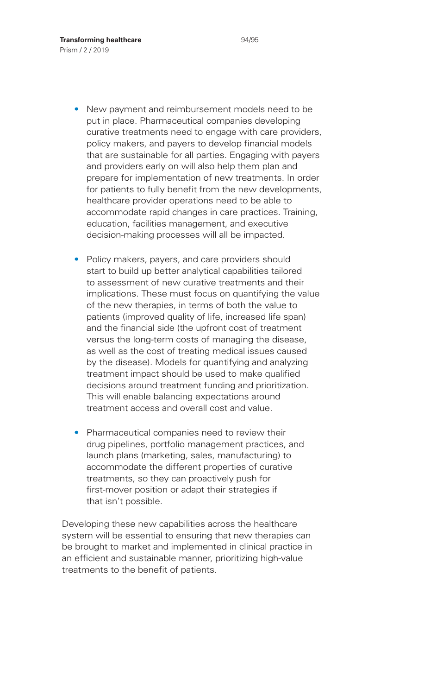- New payment and reimbursement models need to be put in place. Pharmaceutical companies developing curative treatments need to engage with care providers, policy makers, and payers to develop financial models that are sustainable for all parties. Engaging with payers and providers early on will also help them plan and prepare for implementation of new treatments. In order for patients to fully benefit from the new developments, healthcare provider operations need to be able to accommodate rapid changes in care practices. Training, education, facilities management, and executive decision-making processes will all be impacted.
- Policy makers, payers, and care providers should start to build up better analytical capabilities tailored to assessment of new curative treatments and their implications. These must focus on quantifying the value of the new therapies, in terms of both the value to patients (improved quality of life, increased life span) and the financial side (the upfront cost of treatment versus the long-term costs of managing the disease, as well as the cost of treating medical issues caused by the disease). Models for quantifying and analyzing treatment impact should be used to make qualified decisions around treatment funding and prioritization. This will enable balancing expectations around treatment access and overall cost and value.
- Pharmaceutical companies need to review their drug pipelines, portfolio management practices, and launch plans (marketing, sales, manufacturing) to accommodate the different properties of curative treatments, so they can proactively push for first-mover position or adapt their strategies if that isn't possible.

Developing these new capabilities across the healthcare system will be essential to ensuring that new therapies can be brought to market and implemented in clinical practice in an efficient and sustainable manner, prioritizing high-value treatments to the benefit of patients.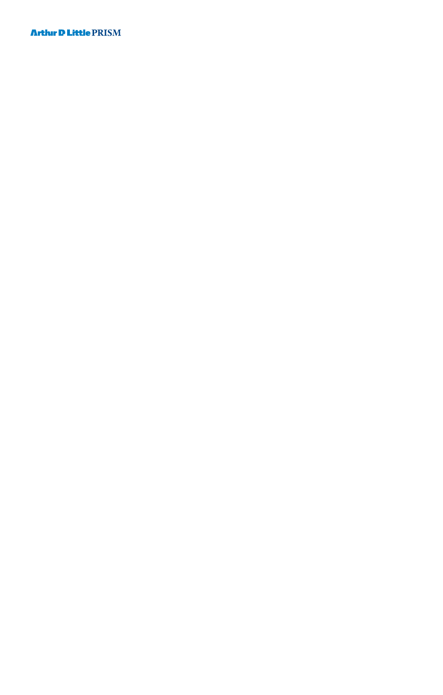**Artlur D Little PRISM**